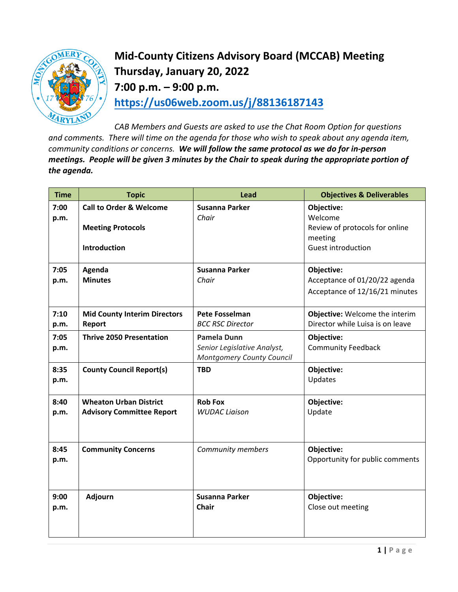

**Mid-County Citizens Advisory Board (MCCAB) Meeting Thursday, January 20, 2022 7:00 p.m. – 9:00 p.m. <https://us06web.zoom.us/j/88136187143>**

*CAB Members and Guests are asked to use the Chat Room Option for questions and comments. There will time on the agenda for those who wish to speak about any agenda item, community conditions or concerns. We will follow the same protocol as we do for in-person meetings. People will be given 3 minutes by the Chair to speak during the appropriate portion of the agenda.* 

| <b>Time</b>  | <b>Topic</b>                        | <b>Lead</b>                                                     | <b>Objectives &amp; Deliverables</b> |
|--------------|-------------------------------------|-----------------------------------------------------------------|--------------------------------------|
| 7:00<br>p.m. | <b>Call to Order &amp; Welcome</b>  | <b>Susanna Parker</b><br>Chair                                  | Objective:<br>Welcome                |
|              | <b>Meeting Protocols</b>            |                                                                 | Review of protocols for online       |
|              | <b>Introduction</b>                 |                                                                 | meeting<br><b>Guest introduction</b> |
| 7:05         | Agenda                              | <b>Susanna Parker</b>                                           | Objective:                           |
| p.m.         | <b>Minutes</b>                      | Chair                                                           | Acceptance of 01/20/22 agenda        |
|              |                                     |                                                                 | Acceptance of 12/16/21 minutes       |
| 7:10         | <b>Mid County Interim Directors</b> | <b>Pete Fosselman</b>                                           | Objective: Welcome the interim       |
| p.m.         | Report                              | <b>BCC RSC Director</b>                                         | Director while Luisa is on leave     |
| 7:05         | <b>Thrive 2050 Presentation</b>     | <b>Pamela Dunn</b>                                              | Objective:                           |
| p.m.         |                                     | Senior Legislative Analyst,<br><b>Montgomery County Council</b> | <b>Community Feedback</b>            |
| 8:35         | <b>County Council Report(s)</b>     | <b>TBD</b>                                                      | Objective:                           |
| p.m.         |                                     |                                                                 | Updates                              |
| 8:40         | <b>Wheaton Urban District</b>       | <b>Rob Fox</b>                                                  | Objective:                           |
| p.m.         | <b>Advisory Committee Report</b>    | <b>WUDAC Liaison</b>                                            | Update                               |
|              |                                     |                                                                 |                                      |
| 8:45         | <b>Community Concerns</b>           | Community members                                               | Objective:                           |
| p.m.         |                                     |                                                                 | Opportunity for public comments      |
|              |                                     |                                                                 |                                      |
| 9:00         | Adjourn                             | <b>Susanna Parker</b>                                           | Objective:                           |
| p.m.         |                                     | <b>Chair</b>                                                    | Close out meeting                    |
|              |                                     |                                                                 |                                      |
|              |                                     |                                                                 |                                      |